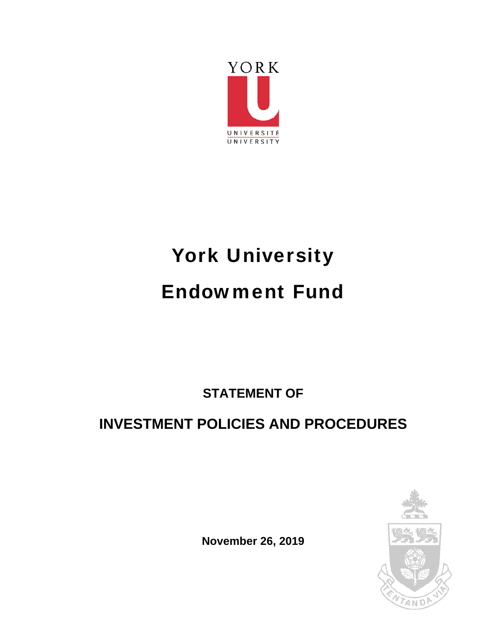

# York University Endowment Fund

**STATEMENT OF** 

# **INVESTMENT POLICIES AND PROCEDURES**



**November 26, 2019**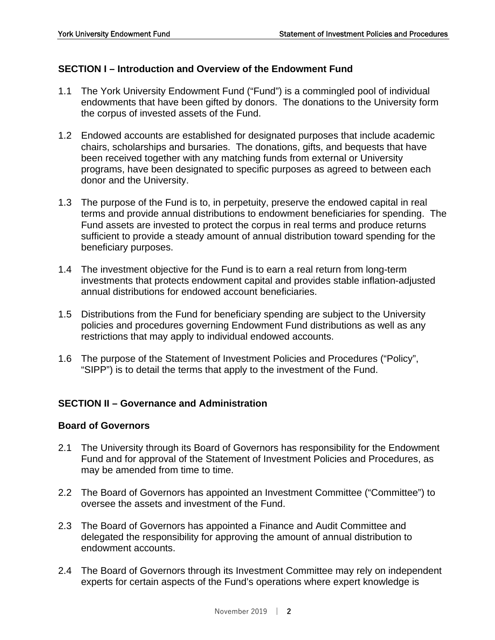# **SECTION I – Introduction and Overview of the Endowment Fund**

- 1.1 The York University Endowment Fund ("Fund") is a commingled pool of individual endowments that have been gifted by donors. The donations to the University form the corpus of invested assets of the Fund.
- 1.2 Endowed accounts are established for designated purposes that include academic chairs, scholarships and bursaries. The donations, gifts, and bequests that have been received together with any matching funds from external or University programs, have been designated to specific purposes as agreed to between each donor and the University.
- 1.3 The purpose of the Fund is to, in perpetuity, preserve the endowed capital in real terms and provide annual distributions to endowment beneficiaries for spending. The Fund assets are invested to protect the corpus in real terms and produce returns sufficient to provide a steady amount of annual distribution toward spending for the beneficiary purposes.
- 1.4 The investment objective for the Fund is to earn a real return from long-term investments that protects endowment capital and provides stable inflation-adjusted annual distributions for endowed account beneficiaries.
- 1.5 Distributions from the Fund for beneficiary spending are subject to the University policies and procedures governing Endowment Fund distributions as well as any restrictions that may apply to individual endowed accounts.
- 1.6 The purpose of the Statement of Investment Policies and Procedures ("Policy", "SIPP") is to detail the terms that apply to the investment of the Fund.

# **SECTION II – Governance and Administration**

#### **Board of Governors**

- 2.1 The University through its Board of Governors has responsibility for the Endowment Fund and for approval of the Statement of Investment Policies and Procedures, as may be amended from time to time.
- 2.2 The Board of Governors has appointed an Investment Committee ("Committee") to oversee the assets and investment of the Fund.
- 2.3 The Board of Governors has appointed a Finance and Audit Committee and delegated the responsibility for approving the amount of annual distribution to endowment accounts.
- 2.4 The Board of Governors through its Investment Committee may rely on independent experts for certain aspects of the Fund's operations where expert knowledge is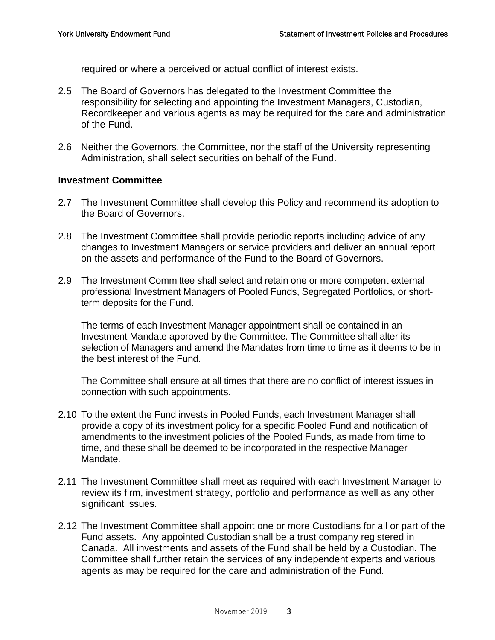required or where a perceived or actual conflict of interest exists.

- 2.5 The Board of Governors has delegated to the Investment Committee the responsibility for selecting and appointing the Investment Managers, Custodian, Recordkeeper and various agents as may be required for the care and administration of the Fund.
- 2.6 Neither the Governors, the Committee, nor the staff of the University representing Administration, shall select securities on behalf of the Fund.

#### **Investment Committee**

- 2.7 The Investment Committee shall develop this Policy and recommend its adoption to the Board of Governors.
- 2.8 The Investment Committee shall provide periodic reports including advice of any changes to Investment Managers or service providers and deliver an annual report on the assets and performance of the Fund to the Board of Governors.
- 2.9 The Investment Committee shall select and retain one or more competent external professional Investment Managers of Pooled Funds, Segregated Portfolios, or shortterm deposits for the Fund.

 The terms of each Investment Manager appointment shall be contained in an Investment Mandate approved by the Committee. The Committee shall alter its selection of Managers and amend the Mandates from time to time as it deems to be in the best interest of the Fund.

 The Committee shall ensure at all times that there are no conflict of interest issues in connection with such appointments.

- 2.10 To the extent the Fund invests in Pooled Funds, each Investment Manager shall provide a copy of its investment policy for a specific Pooled Fund and notification of amendments to the investment policies of the Pooled Funds, as made from time to time, and these shall be deemed to be incorporated in the respective Manager Mandate.
- 2.11 The Investment Committee shall meet as required with each Investment Manager to review its firm, investment strategy, portfolio and performance as well as any other significant issues.
- 2.12 The Investment Committee shall appoint one or more Custodians for all or part of the Fund assets. Any appointed Custodian shall be a trust company registered in Canada. All investments and assets of the Fund shall be held by a Custodian. The Committee shall further retain the services of any independent experts and various agents as may be required for the care and administration of the Fund.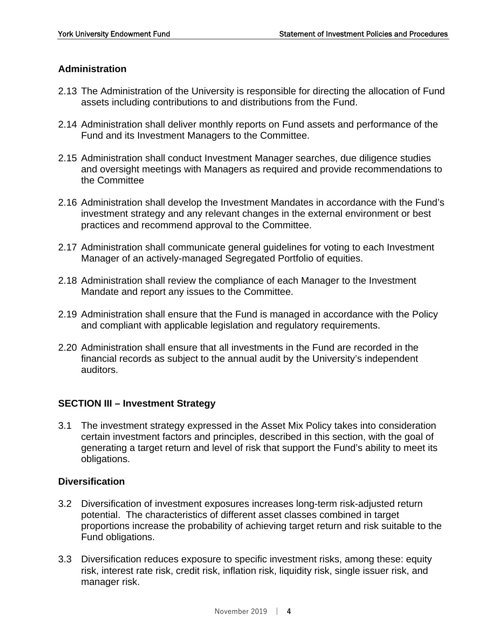### **Administration**

- 2.13 The Administration of the University is responsible for directing the allocation of Fund assets including contributions to and distributions from the Fund.
- 2.14 Administration shall deliver monthly reports on Fund assets and performance of the Fund and its Investment Managers to the Committee.
- 2.15 Administration shall conduct Investment Manager searches, due diligence studies and oversight meetings with Managers as required and provide recommendations to the Committee
- 2.16 Administration shall develop the Investment Mandates in accordance with the Fund's investment strategy and any relevant changes in the external environment or best practices and recommend approval to the Committee.
- 2.17 Administration shall communicate general guidelines for voting to each Investment Manager of an actively-managed Segregated Portfolio of equities.
- 2.18 Administration shall review the compliance of each Manager to the Investment Mandate and report any issues to the Committee.
- 2.19 Administration shall ensure that the Fund is managed in accordance with the Policy and compliant with applicable legislation and regulatory requirements.
- 2.20 Administration shall ensure that all investments in the Fund are recorded in the financial records as subject to the annual audit by the University's independent auditors.

#### **SECTION III – Investment Strategy**

3.1 The investment strategy expressed in the Asset Mix Policy takes into consideration certain investment factors and principles, described in this section, with the goal of generating a target return and level of risk that support the Fund's ability to meet its obligations.

### **Diversification**

- 3.2 Diversification of investment exposures increases long-term risk-adjusted return potential. The characteristics of different asset classes combined in target proportions increase the probability of achieving target return and risk suitable to the Fund obligations.
- 3.3 Diversification reduces exposure to specific investment risks, among these: equity risk, interest rate risk, credit risk, inflation risk, liquidity risk, single issuer risk, and manager risk.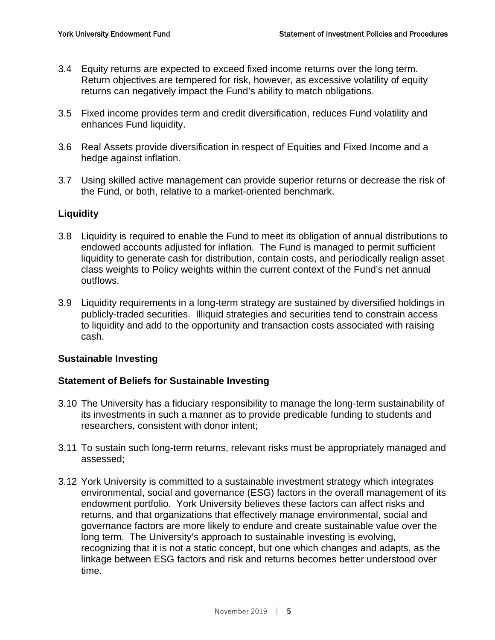- 3.4 Equity returns are expected to exceed fixed income returns over the long term. Return objectives are tempered for risk, however, as excessive volatility of equity returns can negatively impact the Fund's ability to match obligations.
- 3.5 Fixed income provides term and credit diversification, reduces Fund volatility and enhances Fund liquidity.
- 3.6 Real Assets provide diversification in respect of Equities and Fixed Income and a hedge against inflation.
- 3.7 Using skilled active management can provide superior returns or decrease the risk of the Fund, or both, relative to a market-oriented benchmark.

#### **Liquidity**

- 3.8 Liquidity is required to enable the Fund to meet its obligation of annual distributions to endowed accounts adjusted for inflation. The Fund is managed to permit sufficient liquidity to generate cash for distribution, contain costs, and periodically realign asset class weights to Policy weights within the current context of the Fund's net annual outflows.
- 3.9 Liquidity requirements in a long-term strategy are sustained by diversified holdings in publicly-traded securities. Illiquid strategies and securities tend to constrain access to liquidity and add to the opportunity and transaction costs associated with raising cash.

#### **Sustainable Investing**

#### **Statement of Beliefs for Sustainable Investing**

- 3.10 The University has a fiduciary responsibility to manage the long-term sustainability of its investments in such a manner as to provide predicable funding to students and researchers, consistent with donor intent;
- 3.11 To sustain such long-term returns, relevant risks must be appropriately managed and assessed;
- 3.12 York University is committed to a sustainable investment strategy which integrates environmental, social and governance (ESG) factors in the overall management of its endowment portfolio. York University believes these factors can affect risks and returns, and that organizations that effectively manage environmental, social and governance factors are more likely to endure and create sustainable value over the long term. The University's approach to sustainable investing is evolving, recognizing that it is not a static concept, but one which changes and adapts, as the linkage between ESG factors and risk and returns becomes better understood over time.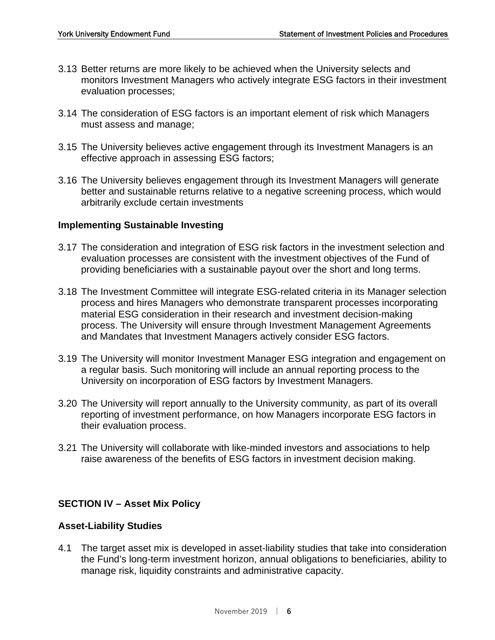- 3.13 Better returns are more likely to be achieved when the University selects and monitors Investment Managers who actively integrate ESG factors in their investment evaluation processes;
- 3.14 The consideration of ESG factors is an important element of risk which Managers must assess and manage;
- 3.15 The University believes active engagement through its Investment Managers is an effective approach in assessing ESG factors;
- 3.16 The University believes engagement through its Investment Managers will generate better and sustainable returns relative to a negative screening process, which would arbitrarily exclude certain investments

#### **Implementing Sustainable Investing**

- 3.17 The consideration and integration of ESG risk factors in the investment selection and evaluation processes are consistent with the investment objectives of the Fund of providing beneficiaries with a sustainable payout over the short and long terms.
- 3.18 The Investment Committee will integrate ESG-related criteria in its Manager selection process and hires Managers who demonstrate transparent processes incorporating material ESG consideration in their research and investment decision-making process. The University will ensure through Investment Management Agreements and Mandates that Investment Managers actively consider ESG factors.
- 3.19 The University will monitor Investment Manager ESG integration and engagement on a regular basis. Such monitoring will include an annual reporting process to the University on incorporation of ESG factors by Investment Managers.
- 3.20 The University will report annually to the University community, as part of its overall reporting of investment performance, on how Managers incorporate ESG factors in their evaluation process.
- 3.21 The University will collaborate with like-minded investors and associations to help raise awareness of the benefits of ESG factors in investment decision making.

#### **SECTION IV – Asset Mix Policy**

#### **Asset-Liability Studies**

4.1 The target asset mix is developed in asset-liability studies that take into consideration the Fund's long-term investment horizon, annual obligations to beneficiaries, ability to manage risk, liquidity constraints and administrative capacity.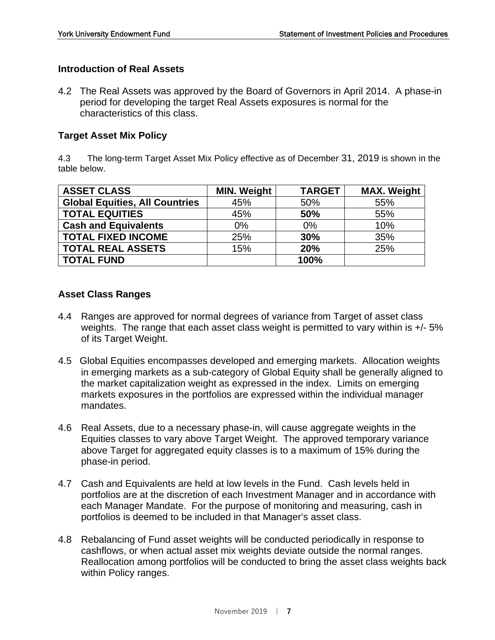#### **Introduction of Real Assets**

4.2 The Real Assets was approved by the Board of Governors in April 2014. A phase-in period for developing the target Real Assets exposures is normal for the characteristics of this class.

#### **Target Asset Mix Policy**

4.3 The long-term Target Asset Mix Policy effective as of December 31, 2019 is shown in the table below.

| <b>ASSET CLASS</b>                    | <b>MIN. Weight</b> | <b>TARGET</b> | <b>MAX. Weight</b> |
|---------------------------------------|--------------------|---------------|--------------------|
| <b>Global Equities, All Countries</b> | 45%                | 50%           | 55%                |
| <b>TOTAL EQUITIES</b>                 | 45%                | 50%           | 55%                |
| <b>Cash and Equivalents</b>           | $0\%$              | $0\%$         | 10%                |
| <b>TOTAL FIXED INCOME</b>             | 25%                | 30%           | 35%                |
| <b>TOTAL REAL ASSETS</b>              | 15%                | 20%           | 25%                |
| <b>TOTAL FUND</b>                     |                    | 100%          |                    |

#### **Asset Class Ranges**

- 4.4 Ranges are approved for normal degrees of variance from Target of asset class weights. The range that each asset class weight is permitted to vary within is  $+/-5\%$ of its Target Weight.
- 4.5 Global Equities encompasses developed and emerging markets. Allocation weights in emerging markets as a sub-category of Global Equity shall be generally aligned to the market capitalization weight as expressed in the index. Limits on emerging markets exposures in the portfolios are expressed within the individual manager mandates.
- 4.6 Real Assets, due to a necessary phase-in, will cause aggregate weights in the Equities classes to vary above Target Weight. The approved temporary variance above Target for aggregated equity classes is to a maximum of 15% during the phase-in period.
- 4.7 Cash and Equivalents are held at low levels in the Fund. Cash levels held in portfolios are at the discretion of each Investment Manager and in accordance with each Manager Mandate. For the purpose of monitoring and measuring, cash in portfolios is deemed to be included in that Manager's asset class.
- 4.8 Rebalancing of Fund asset weights will be conducted periodically in response to cashflows, or when actual asset mix weights deviate outside the normal ranges. Reallocation among portfolios will be conducted to bring the asset class weights back within Policy ranges.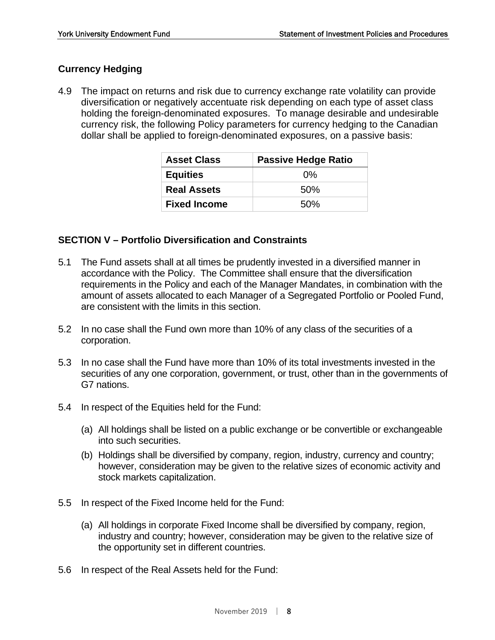# **Currency Hedging**

4.9 The impact on returns and risk due to currency exchange rate volatility can provide diversification or negatively accentuate risk depending on each type of asset class holding the foreign-denominated exposures. To manage desirable and undesirable currency risk, the following Policy parameters for currency hedging to the Canadian dollar shall be applied to foreign-denominated exposures, on a passive basis:

| <b>Asset Class</b>  | <b>Passive Hedge Ratio</b> |  |  |
|---------------------|----------------------------|--|--|
| <b>Equities</b>     | $0\%$                      |  |  |
| <b>Real Assets</b>  | 50%                        |  |  |
| <b>Fixed Income</b> | 50%                        |  |  |

#### **SECTION V – Portfolio Diversification and Constraints**

- 5.1 The Fund assets shall at all times be prudently invested in a diversified manner in accordance with the Policy. The Committee shall ensure that the diversification requirements in the Policy and each of the Manager Mandates, in combination with the amount of assets allocated to each Manager of a Segregated Portfolio or Pooled Fund, are consistent with the limits in this section.
- 5.2 In no case shall the Fund own more than 10% of any class of the securities of a corporation.
- 5.3 In no case shall the Fund have more than 10% of its total investments invested in the securities of any one corporation, government, or trust, other than in the governments of G7 nations.
- 5.4 In respect of the Equities held for the Fund:
	- (a) All holdings shall be listed on a public exchange or be convertible or exchangeable into such securities.
	- (b) Holdings shall be diversified by company, region, industry, currency and country; however, consideration may be given to the relative sizes of economic activity and stock markets capitalization.
- 5.5 In respect of the Fixed Income held for the Fund:
	- (a) All holdings in corporate Fixed Income shall be diversified by company, region, industry and country; however, consideration may be given to the relative size of the opportunity set in different countries.
- 5.6 In respect of the Real Assets held for the Fund: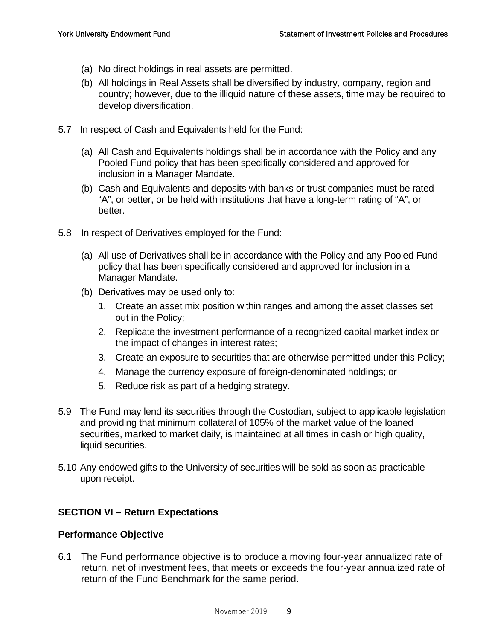- (a) No direct holdings in real assets are permitted.
- (b) All holdings in Real Assets shall be diversified by industry, company, region and country; however, due to the illiquid nature of these assets, time may be required to develop diversification.
- 5.7 In respect of Cash and Equivalents held for the Fund:
	- (a) All Cash and Equivalents holdings shall be in accordance with the Policy and any Pooled Fund policy that has been specifically considered and approved for inclusion in a Manager Mandate.
	- (b) Cash and Equivalents and deposits with banks or trust companies must be rated "A", or better, or be held with institutions that have a long-term rating of "A", or better.
- 5.8 In respect of Derivatives employed for the Fund:
	- (a) All use of Derivatives shall be in accordance with the Policy and any Pooled Fund policy that has been specifically considered and approved for inclusion in a Manager Mandate.
	- (b) Derivatives may be used only to:
		- 1. Create an asset mix position within ranges and among the asset classes set out in the Policy;
		- 2. Replicate the investment performance of a recognized capital market index or the impact of changes in interest rates;
		- 3. Create an exposure to securities that are otherwise permitted under this Policy;
		- 4. Manage the currency exposure of foreign-denominated holdings; or
		- 5. Reduce risk as part of a hedging strategy.
- 5.9 The Fund may lend its securities through the Custodian, subject to applicable legislation and providing that minimum collateral of 105% of the market value of the loaned securities, marked to market daily, is maintained at all times in cash or high quality, liquid securities.
- 5.10 Any endowed gifts to the University of securities will be sold as soon as practicable upon receipt.

#### **SECTION VI – Return Expectations**

#### **Performance Objective**

6.1 The Fund performance objective is to produce a moving four-year annualized rate of return, net of investment fees, that meets or exceeds the four-year annualized rate of return of the Fund Benchmark for the same period.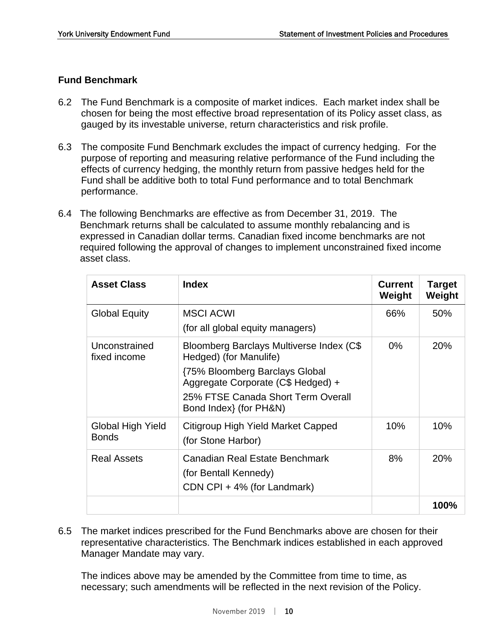# **Fund Benchmark**

- 6.2 The Fund Benchmark is a composite of market indices. Each market index shall be chosen for being the most effective broad representation of its Policy asset class, as gauged by its investable universe, return characteristics and risk profile.
- 6.3 The composite Fund Benchmark excludes the impact of currency hedging. For the purpose of reporting and measuring relative performance of the Fund including the effects of currency hedging, the monthly return from passive hedges held for the Fund shall be additive both to total Fund performance and to total Benchmark performance.
- 6.4 The following Benchmarks are effective as from December 31, 2019. The Benchmark returns shall be calculated to assume monthly rebalancing and is expressed in Canadian dollar terms. Canadian fixed income benchmarks are not required following the approval of changes to implement unconstrained fixed income asset class.

| <b>Asset Class</b>                       | <b>Index</b>                                                                                                                                                                                                      | <b>Current</b><br>Weight | <b>Target</b><br>Weight |
|------------------------------------------|-------------------------------------------------------------------------------------------------------------------------------------------------------------------------------------------------------------------|--------------------------|-------------------------|
| <b>Global Equity</b>                     | <b>MSCI ACWI</b><br>(for all global equity managers)                                                                                                                                                              | 66%                      | 50%                     |
| Unconstrained<br>fixed income            | Bloomberg Barclays Multiverse Index (C\$<br>Hedged) (for Manulife)<br><b>{75% Bloomberg Barclays Global</b><br>Aggregate Corporate (C\$ Hedged) +<br>25% FTSE Canada Short Term Overall<br>Bond Index} (for PH&N) | $0\%$                    | <b>20%</b>              |
| <b>Global High Yield</b><br><b>Bonds</b> | Citigroup High Yield Market Capped<br>(for Stone Harbor)                                                                                                                                                          | 10%                      | 10%                     |
| <b>Real Assets</b>                       | <b>Canadian Real Estate Benchmark</b><br>(for Bentall Kennedy)<br>CDN CPI + 4% (for Landmark)                                                                                                                     | 8%                       | <b>20%</b>              |
|                                          |                                                                                                                                                                                                                   |                          | 100%                    |

6.5 The market indices prescribed for the Fund Benchmarks above are chosen for their representative characteristics. The Benchmark indices established in each approved Manager Mandate may vary.

 The indices above may be amended by the Committee from time to time, as necessary; such amendments will be reflected in the next revision of the Policy.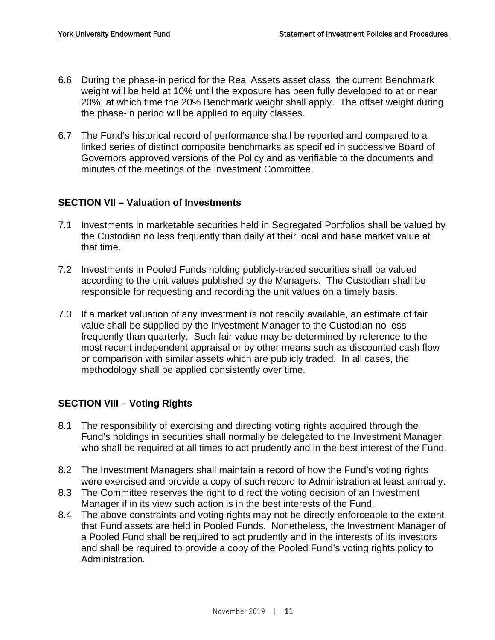- 6.6 During the phase-in period for the Real Assets asset class, the current Benchmark weight will be held at 10% until the exposure has been fully developed to at or near 20%, at which time the 20% Benchmark weight shall apply. The offset weight during the phase-in period will be applied to equity classes.
- 6.7 The Fund's historical record of performance shall be reported and compared to a linked series of distinct composite benchmarks as specified in successive Board of Governors approved versions of the Policy and as verifiable to the documents and minutes of the meetings of the Investment Committee.

#### **SECTION VII – Valuation of Investments**

- 7.1 Investments in marketable securities held in Segregated Portfolios shall be valued by the Custodian no less frequently than daily at their local and base market value at that time.
- 7.2 Investments in Pooled Funds holding publicly-traded securities shall be valued according to the unit values published by the Managers. The Custodian shall be responsible for requesting and recording the unit values on a timely basis.
- 7.3 If a market valuation of any investment is not readily available, an estimate of fair value shall be supplied by the Investment Manager to the Custodian no less frequently than quarterly. Such fair value may be determined by reference to the most recent independent appraisal or by other means such as discounted cash flow or comparison with similar assets which are publicly traded. In all cases, the methodology shall be applied consistently over time.

# **SECTION VIII – Voting Rights**

- 8.1 The responsibility of exercising and directing voting rights acquired through the Fund's holdings in securities shall normally be delegated to the Investment Manager, who shall be required at all times to act prudently and in the best interest of the Fund.
- 8.2 The Investment Managers shall maintain a record of how the Fund's voting rights were exercised and provide a copy of such record to Administration at least annually.
- 8.3 The Committee reserves the right to direct the voting decision of an Investment Manager if in its view such action is in the best interests of the Fund.
- 8.4 The above constraints and voting rights may not be directly enforceable to the extent that Fund assets are held in Pooled Funds. Nonetheless, the Investment Manager of a Pooled Fund shall be required to act prudently and in the interests of its investors and shall be required to provide a copy of the Pooled Fund's voting rights policy to Administration.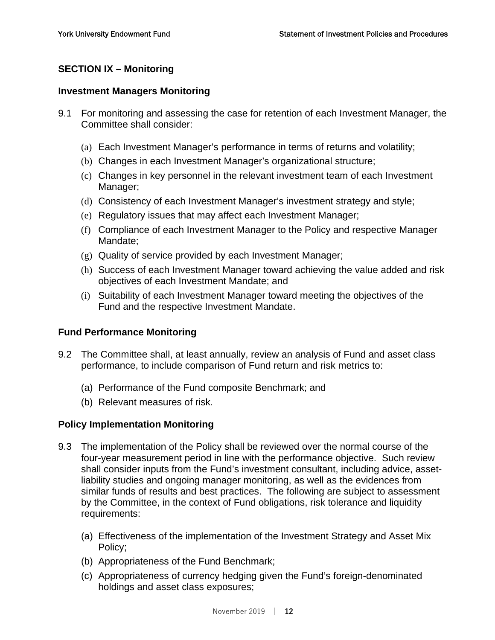# **SECTION IX – Monitoring**

#### **Investment Managers Monitoring**

- 9.1 For monitoring and assessing the case for retention of each Investment Manager, the Committee shall consider:
	- (a) Each Investment Manager's performance in terms of returns and volatility;
	- (b) Changes in each Investment Manager's organizational structure;
	- (c) Changes in key personnel in the relevant investment team of each Investment Manager;
	- (d) Consistency of each Investment Manager's investment strategy and style;
	- (e) Regulatory issues that may affect each Investment Manager;
	- (f) Compliance of each Investment Manager to the Policy and respective Manager Mandate;
	- (g) Quality of service provided by each Investment Manager;
	- (h) Success of each Investment Manager toward achieving the value added and risk objectives of each Investment Mandate; and
	- (i) Suitability of each Investment Manager toward meeting the objectives of the Fund and the respective Investment Mandate.

#### **Fund Performance Monitoring**

- 9.2 The Committee shall, at least annually, review an analysis of Fund and asset class performance, to include comparison of Fund return and risk metrics to:
	- (a) Performance of the Fund composite Benchmark; and
	- (b) Relevant measures of risk.

#### **Policy Implementation Monitoring**

- 9.3 The implementation of the Policy shall be reviewed over the normal course of the four-year measurement period in line with the performance objective. Such review shall consider inputs from the Fund's investment consultant, including advice, assetliability studies and ongoing manager monitoring, as well as the evidences from similar funds of results and best practices. The following are subject to assessment by the Committee, in the context of Fund obligations, risk tolerance and liquidity requirements:
	- (a) Effectiveness of the implementation of the Investment Strategy and Asset Mix Policy;
	- (b) Appropriateness of the Fund Benchmark;
	- (c) Appropriateness of currency hedging given the Fund's foreign-denominated holdings and asset class exposures;